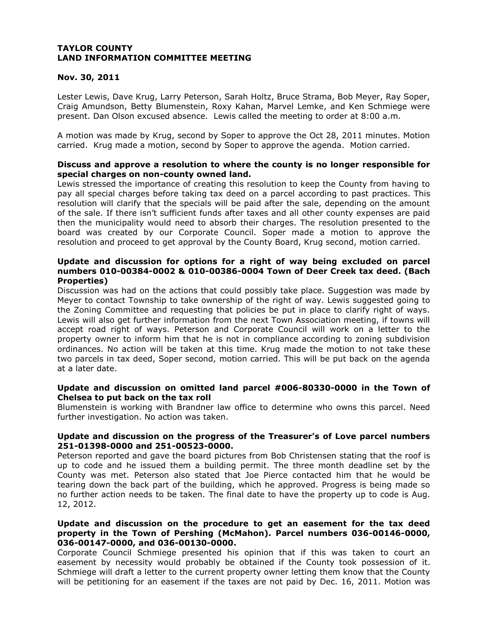# **Nov. 30, 2011**

Lester Lewis, Dave Krug, Larry Peterson, Sarah Holtz, Bruce Strama, Bob Meyer, Ray Soper, Craig Amundson, Betty Blumenstein, Roxy Kahan, Marvel Lemke, and Ken Schmiege were present. Dan Olson excused absence. Lewis called the meeting to order at 8:00 a.m.

A motion was made by Krug, second by Soper to approve the Oct 28, 2011 minutes. Motion carried. Krug made a motion, second by Soper to approve the agenda. Motion carried.

# **Discuss and approve a resolution to where the county is no longer responsible for special charges on non-county owned land.**

Lewis stressed the importance of creating this resolution to keep the County from having to pay all special charges before taking tax deed on a parcel according to past practices. This resolution will clarify that the specials will be paid after the sale, depending on the amount of the sale. If there isn't sufficient funds after taxes and all other county expenses are paid then the municipality would need to absorb their charges. The resolution presented to the board was created by our Corporate Council. Soper made a motion to approve the resolution and proceed to get approval by the County Board, Krug second, motion carried.

# **Update and discussion for options for a right of way being excluded on parcel numbers 010-00384-0002 & 010-00386-0004 Town of Deer Creek tax deed. (Bach Properties)**

Discussion was had on the actions that could possibly take place. Suggestion was made by Meyer to contact Township to take ownership of the right of way. Lewis suggested going to the Zoning Committee and requesting that policies be put in place to clarify right of ways. Lewis will also get further information from the next Town Association meeting, if towns will accept road right of ways. Peterson and Corporate Council will work on a letter to the property owner to inform him that he is not in compliance according to zoning subdivision ordinances. No action will be taken at this time. Krug made the motion to not take these two parcels in tax deed, Soper second, motion carried. This will be put back on the agenda at a later date.

# **Update and discussion on omitted land parcel #006-80330-0000 in the Town of Chelsea to put back on the tax roll**

Blumenstein is working with Brandner law office to determine who owns this parcel. Need further investigation. No action was taken.

# **Update and discussion on the progress of the Treasurer's of Love parcel numbers 251-01398-0000 and 251-00523-0000.**

Peterson reported and gave the board pictures from Bob Christensen stating that the roof is up to code and he issued them a building permit. The three month deadline set by the County was met. Peterson also stated that Joe Pierce contacted him that he would be tearing down the back part of the building, which he approved. Progress is being made so no further action needs to be taken. The final date to have the property up to code is Aug. 12, 2012.

# **Update and discussion on the procedure to get an easement for the tax deed property in the Town of Pershing (McMahon). Parcel numbers 036-00146-0000, 036-00147-0000, and 036-00130-0000.**

Corporate Council Schmiege presented his opinion that if this was taken to court an easement by necessity would probably be obtained if the County took possession of it. Schmiege will draft a letter to the current property owner letting them know that the County will be petitioning for an easement if the taxes are not paid by Dec. 16, 2011. Motion was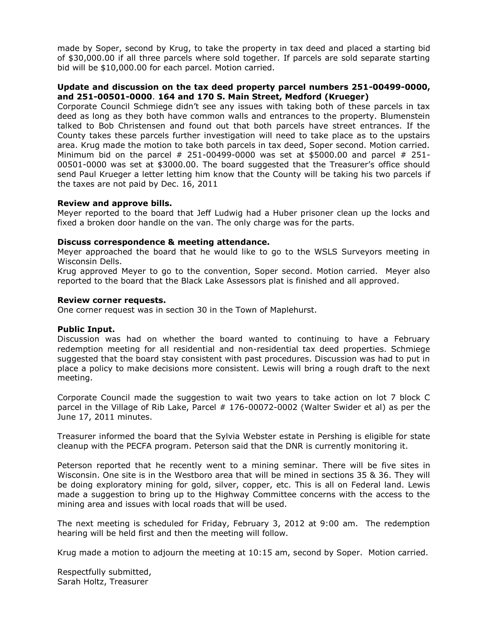made by Soper, second by Krug, to take the property in tax deed and placed a starting bid of \$30,000.00 if all three parcels where sold together. If parcels are sold separate starting bid will be \$10,000.00 for each parcel. Motion carried.

# **Update and discussion on the tax deed property parcel numbers 251-00499-0000, and 251-00501-0000**. **164 and 170 S. Main Street, Medford (Krueger)**

Corporate Council Schmiege didn't see any issues with taking both of these parcels in tax deed as long as they both have common walls and entrances to the property. Blumenstein talked to Bob Christensen and found out that both parcels have street entrances. If the County takes these parcels further investigation will need to take place as to the upstairs area. Krug made the motion to take both parcels in tax deed, Soper second. Motion carried. Minimum bid on the parcel  $#$  251-00499-0000 was set at \$5000.00 and parcel  $#$  251-00501-0000 was set at \$3000.00. The board suggested that the Treasurer's office should send Paul Krueger a letter letting him know that the County will be taking his two parcels if the taxes are not paid by Dec. 16, 2011

# **Review and approve bills.**

Meyer reported to the board that Jeff Ludwig had a Huber prisoner clean up the locks and fixed a broken door handle on the van. The only charge was for the parts.

# **Discuss correspondence & meeting attendance.**

Meyer approached the board that he would like to go to the WSLS Surveyors meeting in Wisconsin Dells.

Krug approved Meyer to go to the convention, Soper second. Motion carried. Meyer also reported to the board that the Black Lake Assessors plat is finished and all approved.

## **Review corner requests.**

One corner request was in section 30 in the Town of Maplehurst.

## **Public Input.**

Discussion was had on whether the board wanted to continuing to have a February redemption meeting for all residential and non-residential tax deed properties. Schmiege suggested that the board stay consistent with past procedures. Discussion was had to put in place a policy to make decisions more consistent. Lewis will bring a rough draft to the next meeting.

Corporate Council made the suggestion to wait two years to take action on lot 7 block C parcel in the Village of Rib Lake, Parcel # 176-00072-0002 (Walter Swider et al) as per the June 17, 2011 minutes.

Treasurer informed the board that the Sylvia Webster estate in Pershing is eligible for state cleanup with the PECFA program. Peterson said that the DNR is currently monitoring it.

Peterson reported that he recently went to a mining seminar. There will be five sites in Wisconsin. One site is in the Westboro area that will be mined in sections 35 & 36. They will be doing exploratory mining for gold, silver, copper, etc. This is all on Federal land. Lewis made a suggestion to bring up to the Highway Committee concerns with the access to the mining area and issues with local roads that will be used.

The next meeting is scheduled for Friday, February 3, 2012 at 9:00 am. The redemption hearing will be held first and then the meeting will follow.

Krug made a motion to adjourn the meeting at 10:15 am, second by Soper. Motion carried.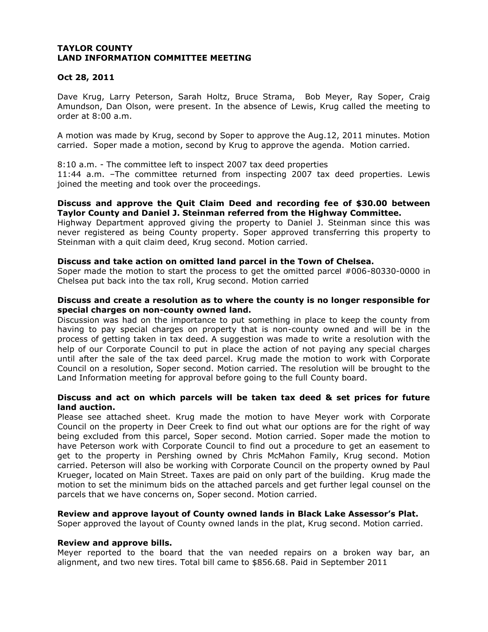# **Oct 28, 2011**

Dave Krug, Larry Peterson, Sarah Holtz, Bruce Strama, Bob Meyer, Ray Soper, Craig Amundson, Dan Olson, were present. In the absence of Lewis, Krug called the meeting to order at 8:00 a.m.

A motion was made by Krug, second by Soper to approve the Aug.12, 2011 minutes. Motion carried. Soper made a motion, second by Krug to approve the agenda. Motion carried.

8:10 a.m. - The committee left to inspect 2007 tax deed properties

11:44 a.m. –The committee returned from inspecting 2007 tax deed properties. Lewis joined the meeting and took over the proceedings.

# **Discuss and approve the Quit Claim Deed and recording fee of \$30.00 between Taylor County and Daniel J. Steinman referred from the Highway Committee.**

Highway Department approved giving the property to Daniel J. Steinman since this was never registered as being County property. Soper approved transferring this property to Steinman with a quit claim deed, Krug second. Motion carried.

# **Discuss and take action on omitted land parcel in the Town of Chelsea.**

Soper made the motion to start the process to get the omitted parcel #006-80330-0000 in Chelsea put back into the tax roll, Krug second. Motion carried

# **Discuss and create a resolution as to where the county is no longer responsible for special charges on non-county owned land.**

Discussion was had on the importance to put something in place to keep the county from having to pay special charges on property that is non-county owned and will be in the process of getting taken in tax deed. A suggestion was made to write a resolution with the help of our Corporate Council to put in place the action of not paying any special charges until after the sale of the tax deed parcel. Krug made the motion to work with Corporate Council on a resolution, Soper second. Motion carried. The resolution will be brought to the Land Information meeting for approval before going to the full County board.

# **Discuss and act on which parcels will be taken tax deed & set prices for future land auction.**

Please see attached sheet. Krug made the motion to have Meyer work with Corporate Council on the property in Deer Creek to find out what our options are for the right of way being excluded from this parcel, Soper second. Motion carried. Soper made the motion to have Peterson work with Corporate Council to find out a procedure to get an easement to get to the property in Pershing owned by Chris McMahon Family, Krug second. Motion carried. Peterson will also be working with Corporate Council on the property owned by Paul Krueger, located on Main Street. Taxes are paid on only part of the building. Krug made the motion to set the minimum bids on the attached parcels and get further legal counsel on the parcels that we have concerns on, Soper second. Motion carried.

# **Review and approve layout of County owned lands in Black Lake Assessor's Plat.**

Soper approved the layout of County owned lands in the plat, Krug second. Motion carried.

## **Review and approve bills.**

Meyer reported to the board that the van needed repairs on a broken way bar, an alignment, and two new tires. Total bill came to \$856.68. Paid in September 2011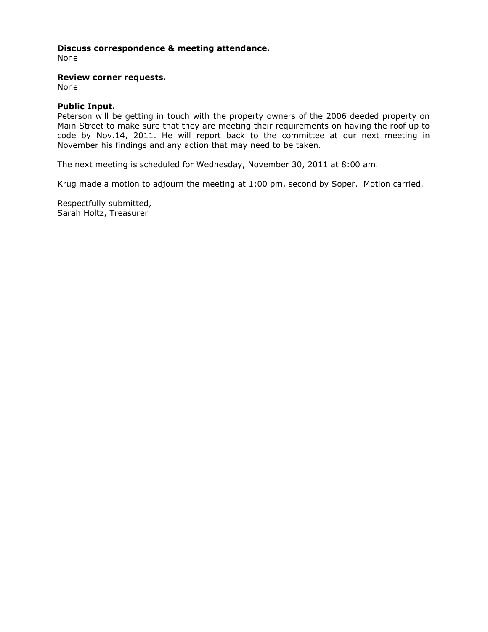# **Discuss correspondence & meeting attendance.**

None

#### **Review corner requests.**

None

## **Public Input.**

Peterson will be getting in touch with the property owners of the 2006 deeded property on Main Street to make sure that they are meeting their requirements on having the roof up to code by Nov.14, 2011. He will report back to the committee at our next meeting in November his findings and any action that may need to be taken.

The next meeting is scheduled for Wednesday, November 30, 2011 at 8:00 am.

Krug made a motion to adjourn the meeting at 1:00 pm, second by Soper. Motion carried.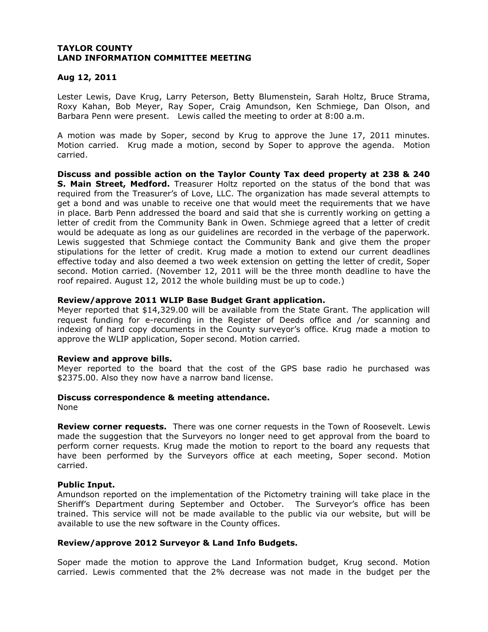# **Aug 12, 2011**

Lester Lewis, Dave Krug, Larry Peterson, Betty Blumenstein, Sarah Holtz, Bruce Strama, Roxy Kahan, Bob Meyer, Ray Soper, Craig Amundson, Ken Schmiege, Dan Olson, and Barbara Penn were present. Lewis called the meeting to order at 8:00 a.m.

A motion was made by Soper, second by Krug to approve the June 17, 2011 minutes. Motion carried. Krug made a motion, second by Soper to approve the agenda. Motion carried.

**Discuss and possible action on the Taylor County Tax deed property at 238 & 240 S. Main Street, Medford.** Treasurer Holtz reported on the status of the bond that was required from the Treasurer's of Love, LLC. The organization has made several attempts to get a bond and was unable to receive one that would meet the requirements that we have in place. Barb Penn addressed the board and said that she is currently working on getting a letter of credit from the Community Bank in Owen. Schmiege agreed that a letter of credit would be adequate as long as our guidelines are recorded in the verbage of the paperwork. Lewis suggested that Schmiege contact the Community Bank and give them the proper stipulations for the letter of credit. Krug made a motion to extend our current deadlines effective today and also deemed a two week extension on getting the letter of credit, Soper second. Motion carried. (November 12, 2011 will be the three month deadline to have the roof repaired. August 12, 2012 the whole building must be up to code.)

# **Review/approve 2011 WLIP Base Budget Grant application.**

Meyer reported that \$14,329.00 will be available from the State Grant. The application will request funding for e-recording in the Register of Deeds office and /or scanning and indexing of hard copy documents in the County surveyor's office. Krug made a motion to approve the WLIP application, Soper second. Motion carried.

## **Review and approve bills.**

Meyer reported to the board that the cost of the GPS base radio he purchased was \$2375.00. Also they now have a narrow band license.

## **Discuss correspondence & meeting attendance.**

None

**Review corner requests.** There was one corner requests in the Town of Roosevelt. Lewis made the suggestion that the Surveyors no longer need to get approval from the board to perform corner requests. Krug made the motion to report to the board any requests that have been performed by the Surveyors office at each meeting, Soper second. Motion carried.

## **Public Input.**

Amundson reported on the implementation of the Pictometry training will take place in the Sheriff's Department during September and October. The Surveyor's office has been trained. This service will not be made available to the public via our website, but will be available to use the new software in the County offices.

## **Review/approve 2012 Surveyor & Land Info Budgets.**

Soper made the motion to approve the Land Information budget, Krug second. Motion carried. Lewis commented that the 2% decrease was not made in the budget per the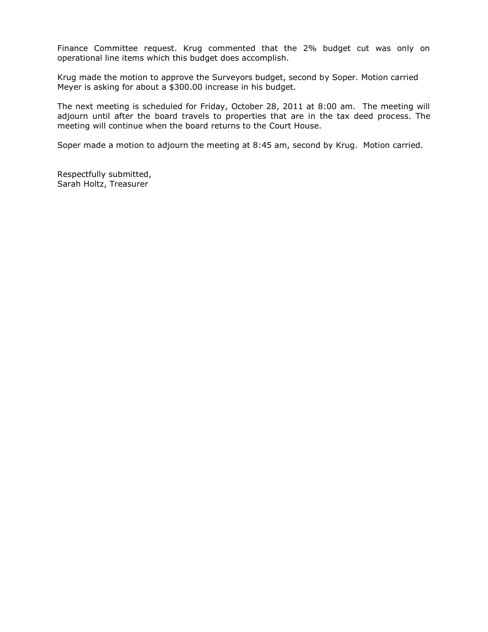Finance Committee request. Krug commented that the 2% budget cut was only on operational line items which this budget does accomplish.

Krug made the motion to approve the Surveyors budget, second by Soper. Motion carried Meyer is asking for about a \$300.00 increase in his budget.

The next meeting is scheduled for Friday, October 28, 2011 at 8:00 am. The meeting will adjourn until after the board travels to properties that are in the tax deed process. The meeting will continue when the board returns to the Court House.

Soper made a motion to adjourn the meeting at 8:45 am, second by Krug. Motion carried.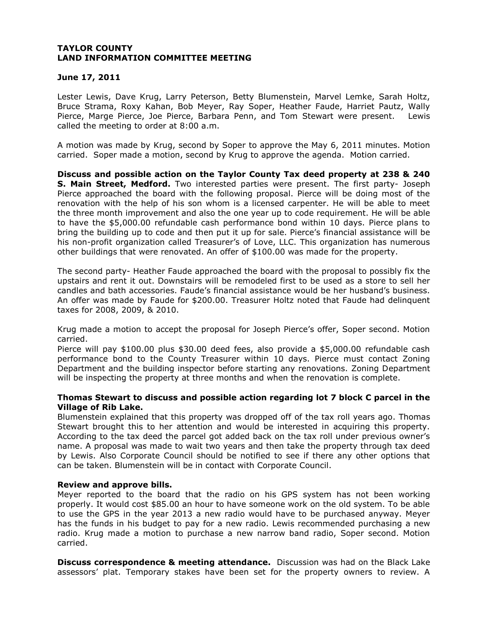# **June 17, 2011**

Lester Lewis, Dave Krug, Larry Peterson, Betty Blumenstein, Marvel Lemke, Sarah Holtz, Bruce Strama, Roxy Kahan, Bob Meyer, Ray Soper, Heather Faude, Harriet Pautz, Wally Pierce, Marge Pierce, Joe Pierce, Barbara Penn, and Tom Stewart were present. Lewis called the meeting to order at 8:00 a.m.

A motion was made by Krug, second by Soper to approve the May 6, 2011 minutes. Motion carried. Soper made a motion, second by Krug to approve the agenda. Motion carried.

**Discuss and possible action on the Taylor County Tax deed property at 238 & 240 S. Main Street, Medford.** Two interested parties were present. The first party- Joseph Pierce approached the board with the following proposal. Pierce will be doing most of the renovation with the help of his son whom is a licensed carpenter. He will be able to meet the three month improvement and also the one year up to code requirement. He will be able to have the \$5,000.00 refundable cash performance bond within 10 days. Pierce plans to bring the building up to code and then put it up for sale. Pierce's financial assistance will be his non-profit organization called Treasurer's of Love, LLC. This organization has numerous other buildings that were renovated. An offer of \$100.00 was made for the property.

The second party- Heather Faude approached the board with the proposal to possibly fix the upstairs and rent it out. Downstairs will be remodeled first to be used as a store to sell her candles and bath accessories. Faude's financial assistance would be her husband's business. An offer was made by Faude for \$200.00. Treasurer Holtz noted that Faude had delinquent taxes for 2008, 2009, & 2010.

Krug made a motion to accept the proposal for Joseph Pierce's offer, Soper second. Motion carried.

Pierce will pay \$100.00 plus \$30.00 deed fees, also provide a \$5,000.00 refundable cash performance bond to the County Treasurer within 10 days. Pierce must contact Zoning Department and the building inspector before starting any renovations. Zoning Department will be inspecting the property at three months and when the renovation is complete.

# **Thomas Stewart to discuss and possible action regarding lot 7 block C parcel in the Village of Rib Lake.**

Blumenstein explained that this property was dropped off of the tax roll years ago. Thomas Stewart brought this to her attention and would be interested in acquiring this property. According to the tax deed the parcel got added back on the tax roll under previous owner's name. A proposal was made to wait two years and then take the property through tax deed by Lewis. Also Corporate Council should be notified to see if there any other options that can be taken. Blumenstein will be in contact with Corporate Council.

## **Review and approve bills.**

Meyer reported to the board that the radio on his GPS system has not been working properly. It would cost \$85.00 an hour to have someone work on the old system. To be able to use the GPS in the year 2013 a new radio would have to be purchased anyway. Meyer has the funds in his budget to pay for a new radio. Lewis recommended purchasing a new radio. Krug made a motion to purchase a new narrow band radio, Soper second. Motion carried.

**Discuss correspondence & meeting attendance.** Discussion was had on the Black Lake assessors' plat. Temporary stakes have been set for the property owners to review. A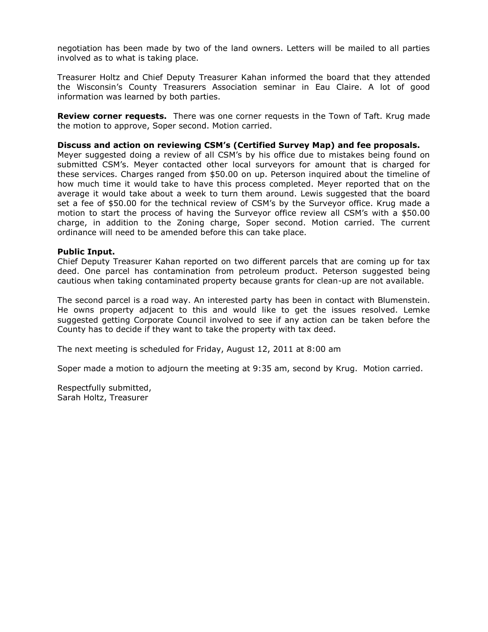negotiation has been made by two of the land owners. Letters will be mailed to all parties involved as to what is taking place.

Treasurer Holtz and Chief Deputy Treasurer Kahan informed the board that they attended the Wisconsin's County Treasurers Association seminar in Eau Claire. A lot of good information was learned by both parties.

**Review corner requests.** There was one corner requests in the Town of Taft. Krug made the motion to approve, Soper second. Motion carried.

#### **Discuss and action on reviewing CSM's (Certified Survey Map) and fee proposals.**

Meyer suggested doing a review of all CSM's by his office due to mistakes being found on submitted CSM's. Meyer contacted other local surveyors for amount that is charged for these services. Charges ranged from \$50.00 on up. Peterson inquired about the timeline of how much time it would take to have this process completed. Meyer reported that on the average it would take about a week to turn them around. Lewis suggested that the board set a fee of \$50.00 for the technical review of CSM's by the Surveyor office. Krug made a motion to start the process of having the Surveyor office review all CSM's with a \$50.00 charge, in addition to the Zoning charge, Soper second. Motion carried. The current ordinance will need to be amended before this can take place.

## **Public Input.**

Chief Deputy Treasurer Kahan reported on two different parcels that are coming up for tax deed. One parcel has contamination from petroleum product. Peterson suggested being cautious when taking contaminated property because grants for clean-up are not available.

The second parcel is a road way. An interested party has been in contact with Blumenstein. He owns property adjacent to this and would like to get the issues resolved. Lemke suggested getting Corporate Council involved to see if any action can be taken before the County has to decide if they want to take the property with tax deed.

The next meeting is scheduled for Friday, August 12, 2011 at 8:00 am

Soper made a motion to adjourn the meeting at 9:35 am, second by Krug. Motion carried.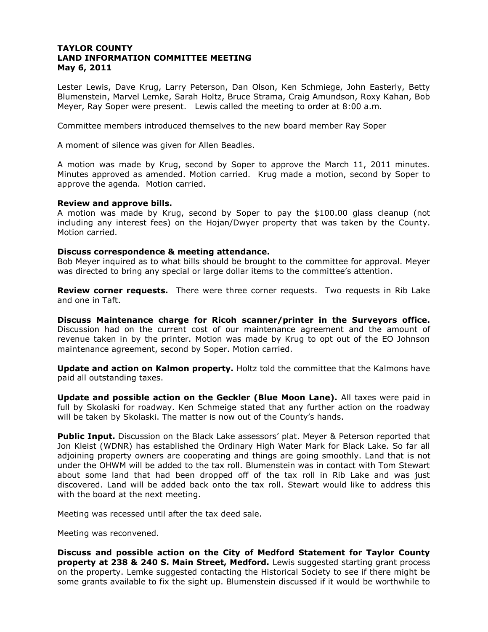Lester Lewis, Dave Krug, Larry Peterson, Dan Olson, Ken Schmiege, John Easterly, Betty Blumenstein, Marvel Lemke, Sarah Holtz, Bruce Strama, Craig Amundson, Roxy Kahan, Bob Meyer, Ray Soper were present. Lewis called the meeting to order at 8:00 a.m.

Committee members introduced themselves to the new board member Ray Soper

A moment of silence was given for Allen Beadles.

A motion was made by Krug, second by Soper to approve the March 11, 2011 minutes. Minutes approved as amended. Motion carried. Krug made a motion, second by Soper to approve the agenda. Motion carried.

#### **Review and approve bills.**

A motion was made by Krug, second by Soper to pay the \$100.00 glass cleanup (not including any interest fees) on the Hojan/Dwyer property that was taken by the County. Motion carried.

#### **Discuss correspondence & meeting attendance.**

Bob Meyer inquired as to what bills should be brought to the committee for approval. Meyer was directed to bring any special or large dollar items to the committee's attention.

**Review corner requests.** There were three corner requests. Two requests in Rib Lake and one in Taft.

**Discuss Maintenance charge for Ricoh scanner/printer in the Surveyors office.**  Discussion had on the current cost of our maintenance agreement and the amount of revenue taken in by the printer. Motion was made by Krug to opt out of the EO Johnson maintenance agreement, second by Soper. Motion carried.

**Update and action on Kalmon property.** Holtz told the committee that the Kalmons have paid all outstanding taxes.

**Update and possible action on the Geckler (Blue Moon Lane).** All taxes were paid in full by Skolaski for roadway. Ken Schmeige stated that any further action on the roadway will be taken by Skolaski. The matter is now out of the County's hands.

**Public Input.** Discussion on the Black Lake assessors' plat. Meyer & Peterson reported that Jon Kleist (WDNR) has established the Ordinary High Water Mark for Black Lake. So far all adjoining property owners are cooperating and things are going smoothly. Land that is not under the OHWM will be added to the tax roll. Blumenstein was in contact with Tom Stewart about some land that had been dropped off of the tax roll in Rib Lake and was just discovered. Land will be added back onto the tax roll. Stewart would like to address this with the board at the next meeting.

Meeting was recessed until after the tax deed sale.

Meeting was reconvened.

**Discuss and possible action on the City of Medford Statement for Taylor County property at 238 & 240 S. Main Street, Medford.** Lewis suggested starting grant process on the property. Lemke suggested contacting the Historical Society to see if there might be some grants available to fix the sight up. Blumenstein discussed if it would be worthwhile to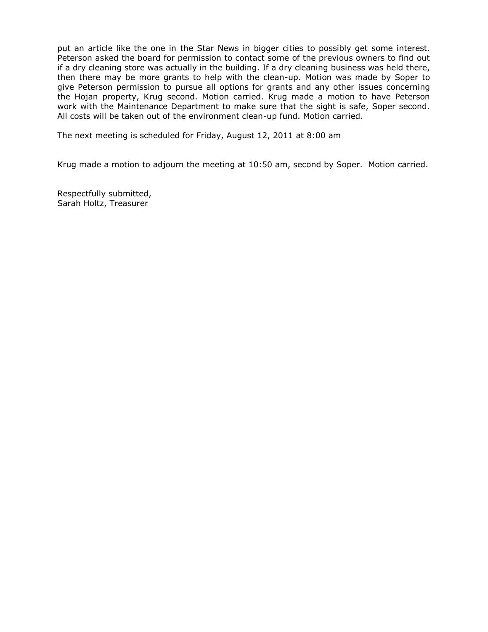put an article like the one in the Star News in bigger cities to possibly get some interest. Peterson asked the board for permission to contact some of the previous owners to find out if a dry cleaning store was actually in the building. If a dry cleaning business was held there, then there may be more grants to help with the clean-up. Motion was made by Soper to give Peterson permission to pursue all options for grants and any other issues concerning the Hojan property, Krug second. Motion carried. Krug made a motion to have Peterson work with the Maintenance Department to make sure that the sight is safe, Soper second. All costs will be taken out of the environment clean-up fund. Motion carried.

The next meeting is scheduled for Friday, August 12, 2011 at 8:00 am

Krug made a motion to adjourn the meeting at 10:50 am, second by Soper. Motion carried.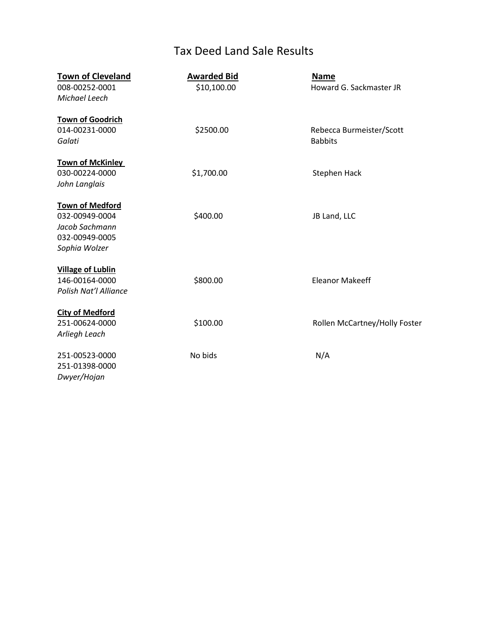# Tax Deed Land Sale Results

| <b>Town of Cleveland</b> | <b>Awarded Bid</b> | <b>Name</b>                   |
|--------------------------|--------------------|-------------------------------|
| 008-00252-0001           | \$10,100.00        | Howard G. Sackmaster JR       |
| Michael Leech            |                    |                               |
|                          |                    |                               |
| <b>Town of Goodrich</b>  |                    |                               |
| 014-00231-0000           | \$2500.00          | Rebecca Burmeister/Scott      |
| Galati                   |                    | <b>Babbits</b>                |
| <b>Town of McKinley</b>  |                    |                               |
| 030-00224-0000           | \$1,700.00         | <b>Stephen Hack</b>           |
| John Langlais            |                    |                               |
|                          |                    |                               |
| <b>Town of Medford</b>   |                    |                               |
| 032-00949-0004           | \$400.00           | JB Land, LLC                  |
| Jacob Sachmann           |                    |                               |
| 032-00949-0005           |                    |                               |
| Sophia Wolzer            |                    |                               |
| <b>Village of Lublin</b> |                    |                               |
| 146-00164-0000           | \$800.00           | <b>Eleanor Makeeff</b>        |
| Polish Nat'l Alliance    |                    |                               |
|                          |                    |                               |
| <b>City of Medford</b>   |                    |                               |
| 251-00624-0000           | \$100.00           | Rollen McCartney/Holly Foster |
| Arliegh Leach            |                    |                               |
| 251-00523-0000           | No bids            | N/A                           |
| 251-01398-0000           |                    |                               |
| Dwyer/Hojan              |                    |                               |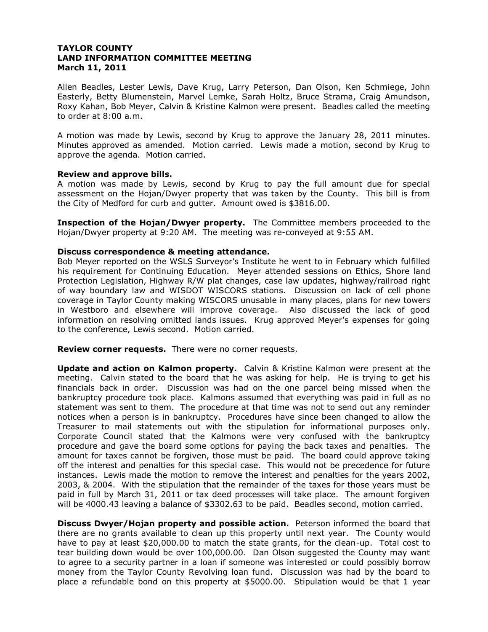Allen Beadles, Lester Lewis, Dave Krug, Larry Peterson, Dan Olson, Ken Schmiege, John Easterly, Betty Blumenstein, Marvel Lemke, Sarah Holtz, Bruce Strama, Craig Amundson, Roxy Kahan, Bob Meyer, Calvin & Kristine Kalmon were present. Beadles called the meeting to order at 8:00 a.m.

A motion was made by Lewis, second by Krug to approve the January 28, 2011 minutes. Minutes approved as amended. Motion carried. Lewis made a motion, second by Krug to approve the agenda. Motion carried.

## **Review and approve bills.**

A motion was made by Lewis, second by Krug to pay the full amount due for special assessment on the Hojan/Dwyer property that was taken by the County. This bill is from the City of Medford for curb and gutter. Amount owed is \$3816.00.

**Inspection of the Hojan/Dwyer property.** The Committee members proceeded to the Hojan/Dwyer property at 9:20 AM. The meeting was re-conveyed at 9:55 AM.

# **Discuss correspondence & meeting attendance.**

Bob Meyer reported on the WSLS Surveyor's Institute he went to in February which fulfilled his requirement for Continuing Education. Meyer attended sessions on Ethics, Shore land Protection Legislation, Highway R/W plat changes, case law updates, highway/railroad right of way boundary law and WISDOT WISCORS stations. Discussion on lack of cell phone coverage in Taylor County making WISCORS unusable in many places, plans for new towers in Westboro and elsewhere will improve coverage. Also discussed the lack of good information on resolving omitted lands issues. Krug approved Meyer's expenses for going to the conference, Lewis second. Motion carried.

**Review corner requests.** There were no corner requests.

**Update and action on Kalmon property.** Calvin & Kristine Kalmon were present at the meeting. Calvin stated to the board that he was asking for help. He is trying to get his financials back in order. Discussion was had on the one parcel being missed when the bankruptcy procedure took place. Kalmons assumed that everything was paid in full as no statement was sent to them. The procedure at that time was not to send out any reminder notices when a person is in bankruptcy. Procedures have since been changed to allow the Treasurer to mail statements out with the stipulation for informational purposes only. Corporate Council stated that the Kalmons were very confused with the bankruptcy procedure and gave the board some options for paying the back taxes and penalties. The amount for taxes cannot be forgiven, those must be paid. The board could approve taking off the interest and penalties for this special case. This would not be precedence for future instances. Lewis made the motion to remove the interest and penalties for the years 2002, 2003, & 2004. With the stipulation that the remainder of the taxes for those years must be paid in full by March 31, 2011 or tax deed processes will take place. The amount forgiven will be 4000.43 leaving a balance of \$3302.63 to be paid. Beadles second, motion carried.

**Discuss Dwyer/Hojan property and possible action.** Peterson informed the board that there are no grants available to clean up this property until next year. The County would have to pay at least \$20,000.00 to match the state grants, for the clean-up. Total cost to tear building down would be over 100,000.00. Dan Olson suggested the County may want to agree to a security partner in a loan if someone was interested or could possibly borrow money from the Taylor County Revolving loan fund. Discussion was had by the board to place a refundable bond on this property at \$5000.00. Stipulation would be that 1 year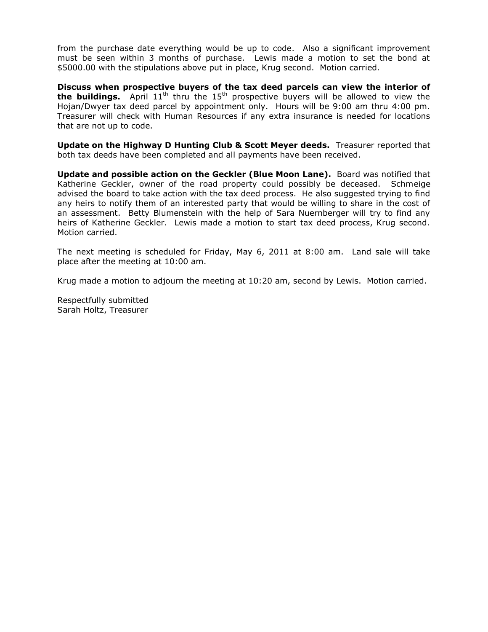from the purchase date everything would be up to code. Also a significant improvement must be seen within 3 months of purchase. Lewis made a motion to set the bond at \$5000.00 with the stipulations above put in place, Krug second. Motion carried.

**Discuss when prospective buyers of the tax deed parcels can view the interior of the buildings.** April 11<sup>th</sup> thru the 15<sup>th</sup> prospective buyers will be allowed to view the Hojan/Dwyer tax deed parcel by appointment only. Hours will be 9:00 am thru 4:00 pm. Treasurer will check with Human Resources if any extra insurance is needed for locations that are not up to code.

**Update on the Highway D Hunting Club & Scott Meyer deeds.** Treasurer reported that both tax deeds have been completed and all payments have been received.

**Update and possible action on the Geckler (Blue Moon Lane).** Board was notified that Katherine Geckler, owner of the road property could possibly be deceased. Schmeige advised the board to take action with the tax deed process. He also suggested trying to find any heirs to notify them of an interested party that would be willing to share in the cost of an assessment. Betty Blumenstein with the help of Sara Nuernberger will try to find any heirs of Katherine Geckler. Lewis made a motion to start tax deed process, Krug second. Motion carried.

The next meeting is scheduled for Friday, May 6, 2011 at 8:00 am. Land sale will take place after the meeting at 10:00 am.

Krug made a motion to adjourn the meeting at 10:20 am, second by Lewis. Motion carried.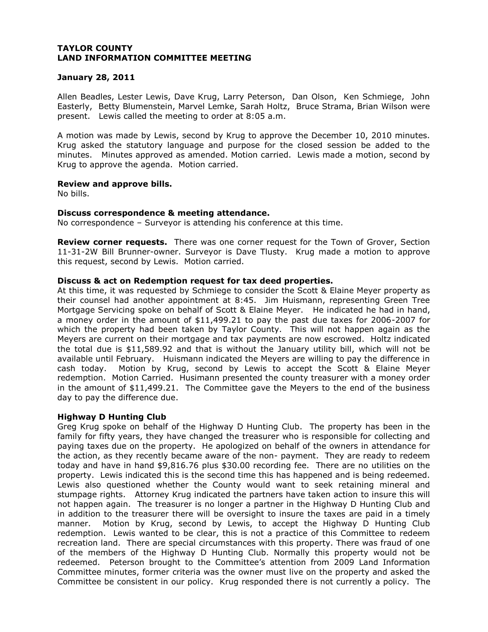# **January 28, 2011**

Allen Beadles, Lester Lewis, Dave Krug, Larry Peterson, Dan Olson, Ken Schmiege, John Easterly, Betty Blumenstein, Marvel Lemke, Sarah Holtz, Bruce Strama, Brian Wilson were present. Lewis called the meeting to order at 8:05 a.m.

A motion was made by Lewis, second by Krug to approve the December 10, 2010 minutes. Krug asked the statutory language and purpose for the closed session be added to the minutes. Minutes approved as amended. Motion carried. Lewis made a motion, second by Krug to approve the agenda. Motion carried.

# **Review and approve bills.**

No bills.

# **Discuss correspondence & meeting attendance.**

No correspondence – Surveyor is attending his conference at this time.

**Review corner requests.** There was one corner request for the Town of Grover, Section 11-31-2W Bill Brunner-owner. Surveyor is Dave Tlusty. Krug made a motion to approve this request, second by Lewis. Motion carried.

# **Discuss & act on Redemption request for tax deed properties.**

At this time, it was requested by Schmiege to consider the Scott & Elaine Meyer property as their counsel had another appointment at 8:45. Jim Huismann, representing Green Tree Mortgage Servicing spoke on behalf of Scott & Elaine Meyer. He indicated he had in hand, a money order in the amount of \$11,499.21 to pay the past due taxes for 2006-2007 for which the property had been taken by Taylor County. This will not happen again as the Meyers are current on their mortgage and tax payments are now escrowed. Holtz indicated the total due is \$11,589.92 and that is without the January utility bill, which will not be available until February. Huismann indicated the Meyers are willing to pay the difference in cash today. Motion by Krug, second by Lewis to accept the Scott & Elaine Meyer redemption. Motion Carried. Husimann presented the county treasurer with a money order in the amount of \$11,499.21. The Committee gave the Meyers to the end of the business day to pay the difference due.

# **Highway D Hunting Club**

Greg Krug spoke on behalf of the Highway D Hunting Club. The property has been in the family for fifty years, they have changed the treasurer who is responsible for collecting and paying taxes due on the property. He apologized on behalf of the owners in attendance for the action, as they recently became aware of the non- payment. They are ready to redeem today and have in hand \$9,816.76 plus \$30.00 recording fee. There are no utilities on the property. Lewis indicated this is the second time this has happened and is being redeemed. Lewis also questioned whether the County would want to seek retaining mineral and stumpage rights. Attorney Krug indicated the partners have taken action to insure this will not happen again. The treasurer is no longer a partner in the Highway D Hunting Club and in addition to the treasurer there will be oversight to insure the taxes are paid in a timely manner. Motion by Krug, second by Lewis, to accept the Highway D Hunting Club redemption. Lewis wanted to be clear, this is not a practice of this Committee to redeem recreation land. There are special circumstances with this property. There was fraud of one of the members of the Highway D Hunting Club. Normally this property would not be redeemed. Peterson brought to the Committee's attention from 2009 Land Information Committee minutes, former criteria was the owner must live on the property and asked the Committee be consistent in our policy. Krug responded there is not currently a policy. The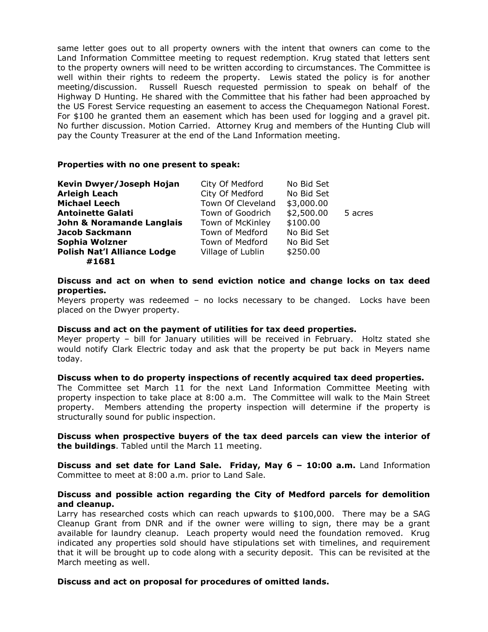same letter goes out to all property owners with the intent that owners can come to the Land Information Committee meeting to request redemption. Krug stated that letters sent to the property owners will need to be written according to circumstances. The Committee is well within their rights to redeem the property. Lewis stated the policy is for another meeting/discussion. Russell Ruesch requested permission to speak on behalf of the Highway D Hunting. He shared with the Committee that his father had been approached by the US Forest Service requesting an easement to access the Chequamegon National Forest. For \$100 he granted them an easement which has been used for logging and a gravel pit. No further discussion. Motion Carried. Attorney Krug and members of the Hunting Club will pay the County Treasurer at the end of the Land Information meeting.

# **Properties with no one present to speak:**

| Kevin Dwyer/Joseph Hojan           | City Of Medford   | No Bid Set |         |
|------------------------------------|-------------------|------------|---------|
| <b>Arleigh Leach</b>               | City Of Medford   | No Bid Set |         |
| <b>Michael Leech</b>               | Town Of Cleveland | \$3,000.00 |         |
| <b>Antoinette Galati</b>           | Town of Goodrich  | \$2,500.00 | 5 acres |
| John & Noramande Langlais          | Town of McKinley  | \$100.00   |         |
| <b>Jacob Sackmann</b>              | Town of Medford   | No Bid Set |         |
| Sophia Wolzner                     | Town of Medford   | No Bid Set |         |
| <b>Polish Nat'l Alliance Lodge</b> | Village of Lublin | \$250.00   |         |
| #1681                              |                   |            |         |

# **Discuss and act on when to send eviction notice and change locks on tax deed properties.**

Meyers property was redeemed – no locks necessary to be changed. Locks have been placed on the Dwyer property.

## **Discuss and act on the payment of utilities for tax deed properties.**

Meyer property – bill for January utilities will be received in February. Holtz stated she would notify Clark Electric today and ask that the property be put back in Meyers name today.

## **Discuss when to do property inspections of recently acquired tax deed properties.**

The Committee set March 11 for the next Land Information Committee Meeting with property inspection to take place at 8:00 a.m. The Committee will walk to the Main Street property. Members attending the property inspection will determine if the property is structurally sound for public inspection.

# **Discuss when prospective buyers of the tax deed parcels can view the interior of the buildings**. Tabled until the March 11 meeting.

**Discuss and set date for Land Sale. Friday, May 6 – 10:00 a.m.** Land Information Committee to meet at 8:00 a.m. prior to Land Sale.

# **Discuss and possible action regarding the City of Medford parcels for demolition and cleanup.**

Larry has researched costs which can reach upwards to \$100,000. There may be a SAG Cleanup Grant from DNR and if the owner were willing to sign, there may be a grant available for laundry cleanup. Leach property would need the foundation removed. Krug indicated any properties sold should have stipulations set with timelines, and requirement that it will be brought up to code along with a security deposit. This can be revisited at the March meeting as well.

## **Discuss and act on proposal for procedures of omitted lands.**